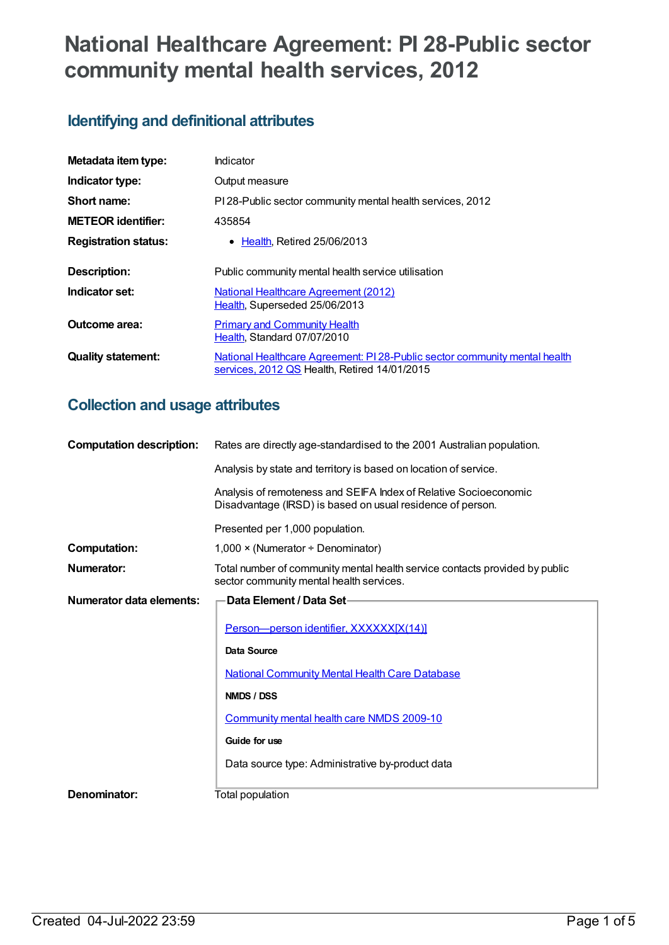# **National Healthcare Agreement: PI 28-Public sector community mental health services, 2012**

## **Identifying and definitional attributes**

| Metadata item type:         | Indicator                                                                                                                  |  |
|-----------------------------|----------------------------------------------------------------------------------------------------------------------------|--|
| Indicator type:             | Output measure                                                                                                             |  |
| Short name:                 | PI 28-Public sector community mental health services, 2012                                                                 |  |
| <b>METEOR identifier:</b>   | 435854                                                                                                                     |  |
| <b>Registration status:</b> | $\bullet$ Health. Retired 25/06/2013                                                                                       |  |
| <b>Description:</b>         | Public community mental health service utilisation                                                                         |  |
| Indicator set:              | <b>National Healthcare Agreement (2012)</b><br>Health, Superseded 25/06/2013                                               |  |
| Outcome area:               | <b>Primary and Community Health</b><br>Health, Standard 07/07/2010                                                         |  |
| <b>Quality statement:</b>   | National Healthcare Agreement: PI 28-Public sector community mental health<br>services, 2012 QS Health, Retired 14/01/2015 |  |

## **Collection and usage attributes**

| <b>Computation description:</b> | Rates are directly age-standardised to the 2001 Australian population.                                                         |  |  |
|---------------------------------|--------------------------------------------------------------------------------------------------------------------------------|--|--|
|                                 | Analysis by state and territory is based on location of service.                                                               |  |  |
|                                 | Analysis of remoteness and SEIFA Index of Relative Socioeconomic<br>Disadvantage (IRSD) is based on usual residence of person. |  |  |
|                                 | Presented per 1,000 population.                                                                                                |  |  |
| <b>Computation:</b>             | $1,000 \times (Numerator + Denominator)$                                                                                       |  |  |
| Numerator:                      | Total number of community mental health service contacts provided by public<br>sector community mental health services.        |  |  |
| Numerator data elements:        | Data Element / Data Set-                                                                                                       |  |  |
|                                 | Person-person identifier, XXXXXX[X(14)]                                                                                        |  |  |
|                                 | Data Source                                                                                                                    |  |  |
|                                 | <b>National Community Mental Health Care Database</b>                                                                          |  |  |
|                                 | NMDS / DSS                                                                                                                     |  |  |
|                                 | Community mental health care NMDS 2009-10                                                                                      |  |  |
|                                 | Guide for use                                                                                                                  |  |  |
|                                 | Data source type: Administrative by-product data                                                                               |  |  |
| Denominator:                    | Total population                                                                                                               |  |  |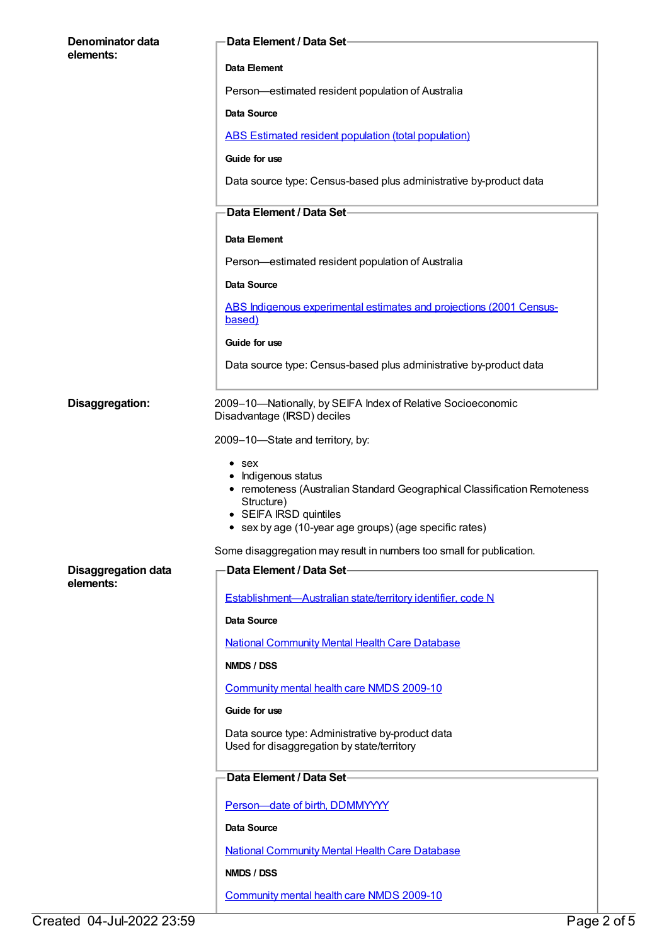| Denominator data<br>elements:           | Data Element / Data Set-                                                                                                                                                                                           |
|-----------------------------------------|--------------------------------------------------------------------------------------------------------------------------------------------------------------------------------------------------------------------|
|                                         | Data Element                                                                                                                                                                                                       |
|                                         | Person-estimated resident population of Australia                                                                                                                                                                  |
|                                         | Data Source                                                                                                                                                                                                        |
|                                         | ABS Estimated resident population (total population)                                                                                                                                                               |
|                                         | Guide for use                                                                                                                                                                                                      |
|                                         | Data source type: Census-based plus administrative by-product data                                                                                                                                                 |
|                                         | Data Element / Data Set-                                                                                                                                                                                           |
|                                         | Data Element                                                                                                                                                                                                       |
|                                         | Person-estimated resident population of Australia                                                                                                                                                                  |
|                                         | Data Source                                                                                                                                                                                                        |
|                                         | ABS Indigenous experimental estimates and projections (2001 Census-<br>based)                                                                                                                                      |
|                                         | Guide for use                                                                                                                                                                                                      |
|                                         | Data source type: Census-based plus administrative by-product data                                                                                                                                                 |
| Disaggregation:                         | 2009-10-Nationally, by SEIFA Index of Relative Socioeconomic<br>Disadvantage (IRSD) deciles                                                                                                                        |
|                                         | 2009-10-State and territory, by:                                                                                                                                                                                   |
|                                         | $\bullet$ sex<br>• Indigenous status<br>• remoteness (Australian Standard Geographical Classification Remoteness<br>Structure)<br>• SEIFA IRSD quintiles<br>• sex by age (10-year age groups) (age specific rates) |
|                                         | Some disaggregation may result in numbers too small for publication.                                                                                                                                               |
| <b>Disaggregation data</b><br>elements: | Data Element / Data Set-                                                                                                                                                                                           |
|                                         | Establishment-Australian state/territory identifier, code N                                                                                                                                                        |
|                                         | <b>Data Source</b>                                                                                                                                                                                                 |
|                                         | <b>National Community Mental Health Care Database</b>                                                                                                                                                              |
|                                         | NMDS / DSS                                                                                                                                                                                                         |
|                                         | Community mental health care NMDS 2009-10                                                                                                                                                                          |
|                                         | Guide for use                                                                                                                                                                                                      |
|                                         | Data source type: Administrative by-product data<br>Used for disaggregation by state/territory                                                                                                                     |
|                                         | Data Element / Data Set-                                                                                                                                                                                           |
|                                         | Person-date of birth, DDMMYYYY                                                                                                                                                                                     |
|                                         | Data Source                                                                                                                                                                                                        |
|                                         | <b>National Community Mental Health Care Database</b>                                                                                                                                                              |
|                                         | NMDS / DSS                                                                                                                                                                                                         |
|                                         | Community mental health care NMDS 2009-10                                                                                                                                                                          |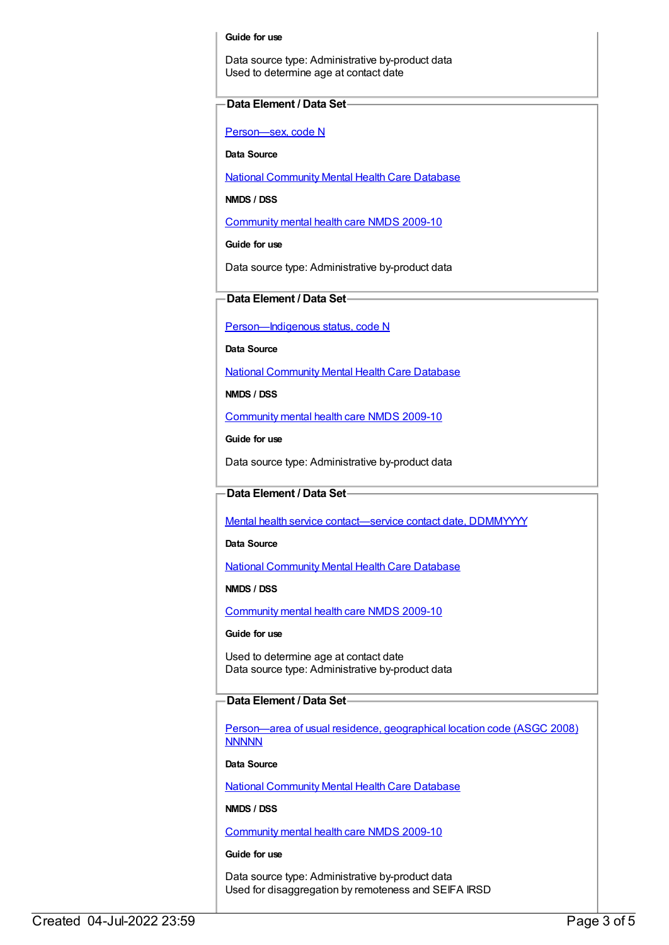#### **Guide for use**

Data source type: Administrative by-product data Used to determine age at contact date

#### **Data Element / Data Set**

[Person—sex,](https://meteor.aihw.gov.au/content/287316) code N

**Data Source**

National [Community](https://meteor.aihw.gov.au/content/430256) Mental Health Care Database

**NMDS / DSS**

[Community](https://meteor.aihw.gov.au/content/374216) mental health care NMDS 2009-10

**Guide for use**

Data source type: Administrative by-product data

### **Data Element / Data Set**

Person-Indigenous status, code N

**Data Source**

National [Community](https://meteor.aihw.gov.au/content/430256) Mental Health Care Database

**NMDS / DSS**

[Community](https://meteor.aihw.gov.au/content/374216) mental health care NMDS 2009-10

**Guide for use**

Data source type: Administrative by-product data

#### **Data Element / Data Set**

Mental health service [contact—service](https://meteor.aihw.gov.au/content/295481) contact date, DDMMYYYY

**Data Source**

National [Community](https://meteor.aihw.gov.au/content/430256) Mental Health Care Database

**NMDS / DSS**

[Community](https://meteor.aihw.gov.au/content/374216) mental health care NMDS 2009-10

**Guide for use**

Used to determine age at contact date Data source type: Administrative by-product data

#### **Data Element / Data Set**

[Person—area](https://meteor.aihw.gov.au/content/377103) of usual residence, geographical location code (ASGC 2008) **NNNNN** 

**Data Source**

National [Community](https://meteor.aihw.gov.au/content/430256) Mental Health Care Database

**NMDS / DSS**

[Community](https://meteor.aihw.gov.au/content/374216) mental health care NMDS 2009-10

**Guide for use**

Data source type: Administrative by-product data Used for disaggregation by remoteness and SEIFA IRSD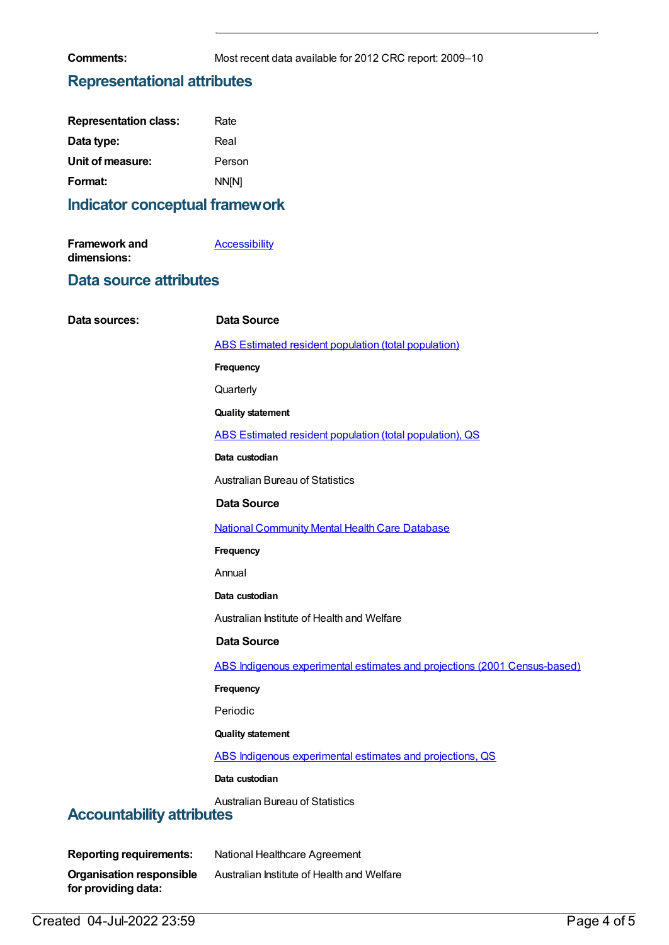**Comments:** Most recent data available for 2012 CRC report: 2009–10

## **Representational attributes**

| <b>Representation class:</b> | Rate         |
|------------------------------|--------------|
| Data type:                   | Real         |
| Unit of measure:             | Person       |
| Format:                      | <b>NN[N]</b> |

## **Indicator conceptual framework**

| <b>Framework and</b> | <b>Accessibility</b> |
|----------------------|----------------------|
| dimensions:          |                      |

## **Data source attributes**

| Data sources:                                                              | <b>Data Source</b>                                                        |
|----------------------------------------------------------------------------|---------------------------------------------------------------------------|
|                                                                            | <b>ABS Estimated resident population (total population)</b>               |
|                                                                            | Frequency                                                                 |
|                                                                            | Quarterly                                                                 |
|                                                                            | <b>Quality statement</b>                                                  |
|                                                                            | ABS Estimated resident population (total population), QS                  |
|                                                                            | Data custodian                                                            |
|                                                                            | <b>Australian Bureau of Statistics</b>                                    |
|                                                                            | <b>Data Source</b>                                                        |
|                                                                            | <b>National Community Mental Health Care Database</b>                     |
|                                                                            | Frequency                                                                 |
|                                                                            | Annual                                                                    |
|                                                                            | Data custodian                                                            |
|                                                                            | Australian Institute of Health and Welfare                                |
|                                                                            | <b>Data Source</b>                                                        |
|                                                                            | ABS Indigenous experimental estimates and projections (2001 Census-based) |
|                                                                            | Frequency                                                                 |
|                                                                            | Periodic                                                                  |
|                                                                            | <b>Quality statement</b>                                                  |
|                                                                            | ABS Indigenous experimental estimates and projections, QS                 |
|                                                                            | Data custodian                                                            |
| <b>Australian Bureau of Statistics</b><br><b>Accountability attributes</b> |                                                                           |
|                                                                            |                                                                           |

| <b>Reporting requirements:</b>  | National Healthcare Agreement              |
|---------------------------------|--------------------------------------------|
| <b>Organisation responsible</b> | Australian Institute of Health and Welfare |
| for providing data:             |                                            |